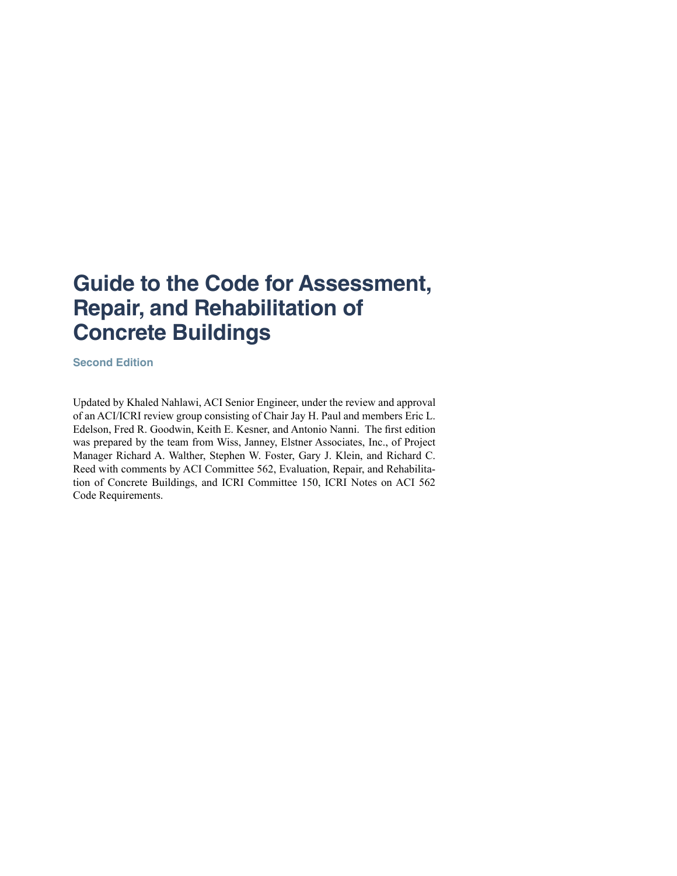# **Guide to the Code for Assessment, Repair, and Rehabilitation of Concrete Buildings**

**Second Edition**

Updated by Khaled Nahlawi, ACI Senior Engineer, under the review and approval of an ACI/ICRI review group consisting of Chair Jay H. Paul and members Eric L. Edelson, Fred R. Goodwin, Keith E. Kesner, and Antonio Nanni. The first edition was prepared by the team from Wiss, Janney, Elstner Associates, Inc., of Project Manager Richard A. Walther, Stephen W. Foster, Gary J. Klein, and Richard C. Reed with comments by ACI Committee 562, Evaluation, Repair, and Rehabilitation of Concrete Buildings, and ICRI Committee 150, ICRI Notes on ACI 562 Code Requirements.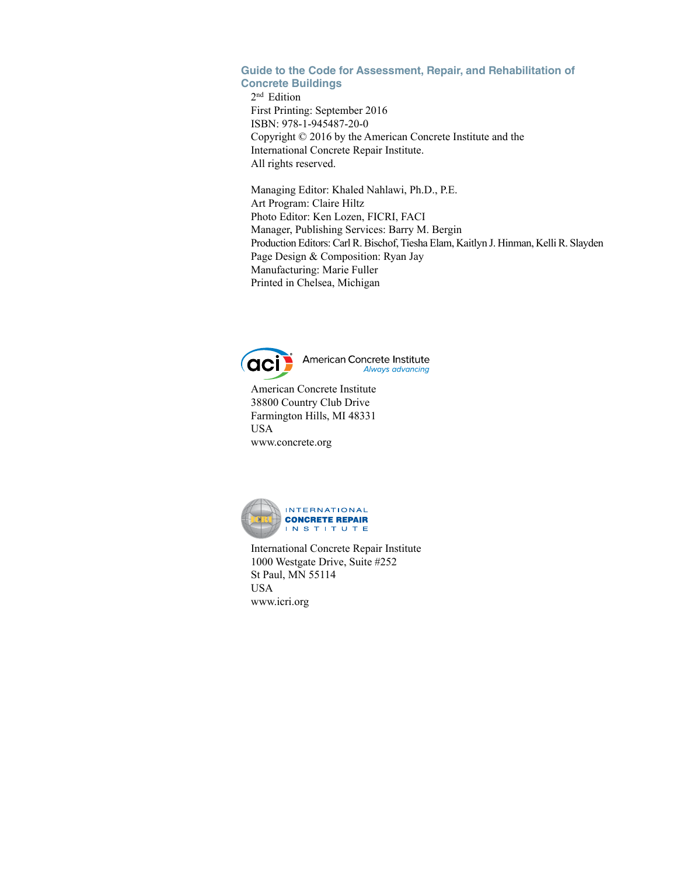# **Guide to the Code for Assessment, Repair, and Rehabilitation of Concrete Buildings**

2nd Edition First Printing: September 2016 ISBN: 978-1-945487-20-0 Copyright © 2016 by the American Concrete Institute and the International Concrete Repair Institute. All rights reserved.

Managing Editor: Khaled Nahlawi, Ph.D., P.E. Art Program: Claire Hiltz Photo Editor: Ken Lozen, FICRI, FACI Manager, Publishing Services: Barry M. Bergin Production Editors: Carl R. Bischof, Tiesha Elam, Kaitlyn J. Hinman, Kelli R. Slayden Page Design & Composition: Ryan Jay Manufacturing: Marie Fuller Printed in Chelsea, Michigan



American Concrete Institute Always advancing

American Concrete Institute 38800 Country Club Drive Farmington Hills, MI 48331 USA www.concrete.org



International Concrete Repair Institute 1000 Westgate Drive, Suite #252 St Paul, MN 55114 USA www.icri.org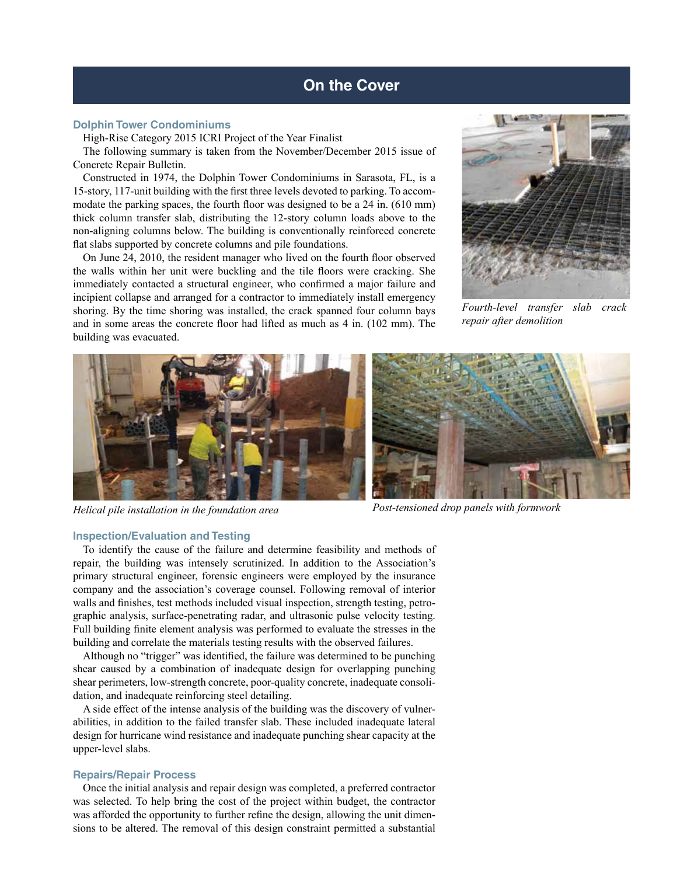#### **Dolphin Tower Condominiums**

High-Rise Category 2015 ICRI Project of the Year Finalist

The following summary is taken from the November/December 2015 issue of Concrete Repair Bulletin.

Constructed in 1974, the Dolphin Tower Condominiums in Sarasota, FL, is a 15-story, 117-unit building with the first three levels devoted to parking. To accommodate the parking spaces, the fourth floor was designed to be a 24 in. (610 mm) thick column transfer slab, distributing the 12-story column loads above to the non-aligning columns below. The building is conventionally reinforced concrete flat slabs supported by concrete columns and pile foundations.

On June 24, 2010, the resident manager who lived on the fourth floor observed the walls within her unit were buckling and the tile floors were cracking. She immediately contacted a structural engineer, who confirmed a major failure and incipient collapse and arranged for a contractor to immediately install emergency shoring. By the time shoring was installed, the crack spanned four column bays and in some areas the concrete floor had lifted as much as 4 in. (102 mm). The building was evacuated.



*Fourth-level transfer slab crack repair after demolition*



*Helical pile installation in the foundation area Post-tensioned drop panels with formwork*

# **Inspection/Evaluation and Testing**

To identify the cause of the failure and determine feasibility and methods of repair, the building was intensely scrutinized. In addition to the Association's primary structural engineer, forensic engineers were employed by the insurance company and the association's coverage counsel. Following removal of interior walls and finishes, test methods included visual inspection, strength testing, petrographic analysis, surface-penetrating radar, and ultrasonic pulse velocity testing. Full building finite element analysis was performed to evaluate the stresses in the building and correlate the materials testing results with the observed failures.

Although no "trigger" was identified, the failure was determined to be punching shear caused by a combination of inadequate design for overlapping punching shear perimeters, low-strength concrete, poor-quality concrete, inadequate consolidation, and inadequate reinforcing steel detailing.

A side effect of the intense analysis of the building was the discovery of vulnerabilities, in addition to the failed transfer slab. These included inadequate lateral design for hurricane wind resistance and inadequate punching shear capacity at the upper-level slabs.

# **Repairs/Repair Process**

Once the initial analysis and repair design was completed, a preferred contractor was selected. To help bring the cost of the project within budget, the contractor was afforded the opportunity to further refine the design, allowing the unit dimensions to be altered. The removal of this design constraint permitted a substantial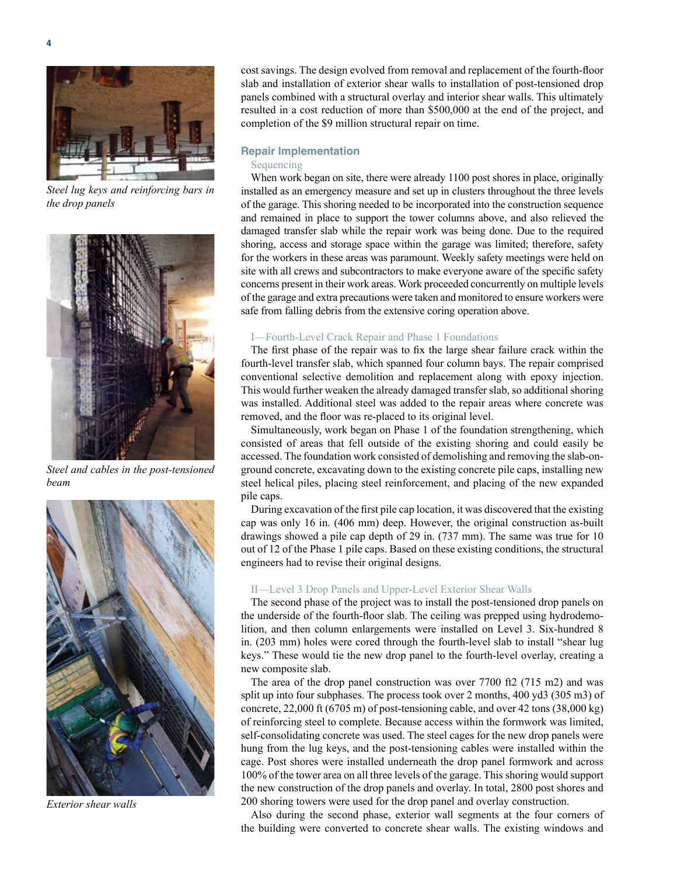

*Steel lug keys and reinforcing bars in the drop panels*



*Steel and cables in the post-tensioned beam*



*Exterior shear walls*

cost savings. The design evolved from removal and replacement of the fourth-floor slab and installation of exterior shear walls to installation of post-tensioned drop panels combined with a structural overlay and interior shear walls. This ultimately resulted in a cost reduction of more than \$500,000 at the end of the project, and completion of the \$9 million structural repair on time.

#### **Repair Implementation**

#### Sequencing

When work began on site, there were already 1100 post shores in place, originally installed as an emergency measure and set up in clusters throughout the three levels of the garage. This shoring needed to be incorporated into the construction sequence and remained in place to support the tower columns above, and also relieved the damaged transfer slab while the repair work was being done. Due to the required shoring, access and storage space within the garage was limited; therefore, safety for the workers in these areas was paramount. Weekly safety meetings were held on site with all crews and subcontractors to make everyone aware of the specific safety concerns present in their work areas. Work proceeded concurrently on multiple levels of the garage and extra precautions were taken and monitored to ensure workers were safe from falling debris from the extensive coring operation above.

#### I—Fourth-Level Crack Repair and Phase 1 Foundations

The first phase of the repair was to fix the large shear failure crack within the fourth-level transfer slab, which spanned four column bays. The repair comprised conventional selective demolition and replacement along with epoxy injection. This would further weaken the already damaged transfer slab, so additional shoring was installed. Additional steel was added to the repair areas where concrete was removed, and the floor was re-placed to its original level.

Simultaneously, work began on Phase 1 of the foundation strengthening, which consisted of areas that fell outside of the existing shoring and could easily be accessed. The foundation work consisted of demolishing and removing the slab-onground concrete, excavating down to the existing concrete pile caps, installing new steel helical piles, placing steel reinforcement, and placing of the new expanded pile caps.

During excavation of the first pile cap location, it was discovered that the existing cap was only 16 in. (406 mm) deep. However, the original construction as-built drawings showed a pile cap depth of 29 in. (737 mm). The same was true for 10 out of 12 of the Phase 1 pile caps. Based on these existing conditions, the structural engineers had to revise their original designs.

#### II—Level 3 Drop Panels and Upper-Level Exterior Shear Walls

The second phase of the project was to install the post-tensioned drop panels on the underside of the fourth-floor slab. The ceiling was prepped using hydrodemolition, and then column enlargements were installed on Level 3. Six-hundred 8 in. (203 mm) holes were cored through the fourth-level slab to install "shear lug keys." These would tie the new drop panel to the fourth-level overlay, creating a new composite slab.

The area of the drop panel construction was over 7700 ft2 (715 m2) and was split up into four subphases. The process took over 2 months, 400 yd3 (305 m3) of concrete, 22,000 ft (6705 m) of post-tensioning cable, and over 42 tons (38,000 kg) of reinforcing steel to complete. Because access within the formwork was limited, self-consolidating concrete was used. The steel cages for the new drop panels were hung from the lug keys, and the post-tensioning cables were installed within the cage. Post shores were installed underneath the drop panel formwork and across 100% of the tower area on all three levels of the garage. This shoring would support the new construction of the drop panels and overlay. In total, 2800 post shores and 200 shoring towers were used for the drop panel and overlay construction.

Also during the second phase, exterior wall segments at the four corners of the building were converted to concrete shear walls. The existing windows and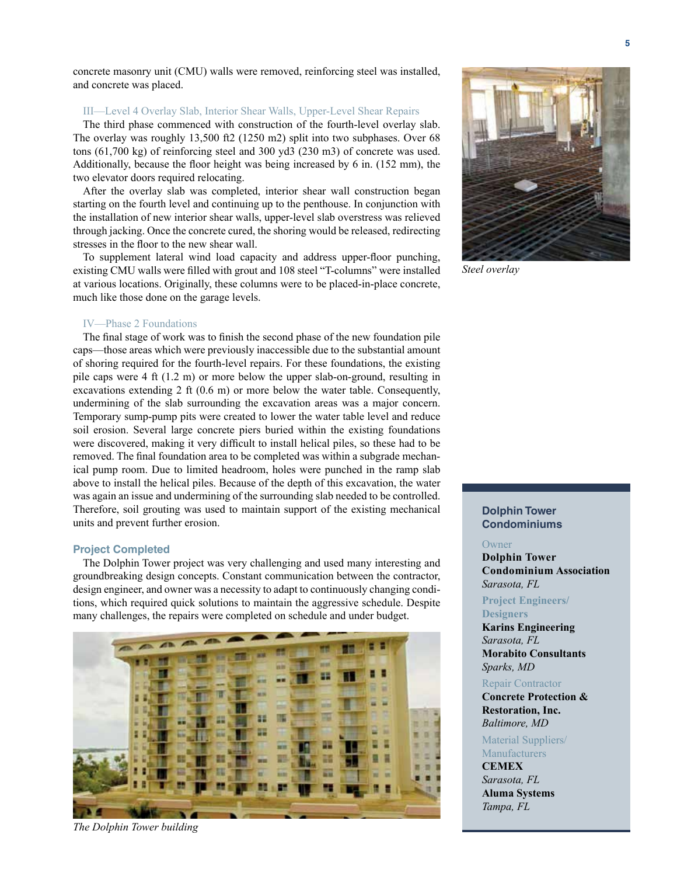concrete masonry unit (CMU) walls were removed, reinforcing steel was installed, and concrete was placed.

# III—Level 4 Overlay Slab, Interior Shear Walls, Upper-Level Shear Repairs

The third phase commenced with construction of the fourth-level overlay slab. The overlay was roughly 13,500 ft2 (1250 m2) split into two subphases. Over 68 tons (61,700 kg) of reinforcing steel and 300 yd3 (230 m3) of concrete was used. Additionally, because the floor height was being increased by 6 in. (152 mm), the two elevator doors required relocating.

After the overlay slab was completed, interior shear wall construction began starting on the fourth level and continuing up to the penthouse. In conjunction with the installation of new interior shear walls, upper-level slab overstress was relieved through jacking. Once the concrete cured, the shoring would be released, redirecting stresses in the floor to the new shear wall.

To supplement lateral wind load capacity and address upper-floor punching, existing CMU walls were filled with grout and 108 steel "T-columns" were installed at various locations. Originally, these columns were to be placed-in-place concrete, much like those done on the garage levels.

#### IV—Phase 2 Foundations

The final stage of work was to finish the second phase of the new foundation pile caps—those areas which were previously inaccessible due to the substantial amount of shoring required for the fourth-level repairs. For these foundations, the existing pile caps were 4 ft (1.2 m) or more below the upper slab-on-ground, resulting in excavations extending 2 ft  $(0.6 \text{ m})$  or more below the water table. Consequently, undermining of the slab surrounding the excavation areas was a major concern. Temporary sump-pump pits were created to lower the water table level and reduce soil erosion. Several large concrete piers buried within the existing foundations were discovered, making it very difficult to install helical piles, so these had to be removed. The final foundation area to be completed was within a subgrade mechanical pump room. Due to limited headroom, holes were punched in the ramp slab above to install the helical piles. Because of the depth of this excavation, the water was again an issue and undermining of the surrounding slab needed to be controlled. Therefore, soil grouting was used to maintain support of the existing mechanical units and prevent further erosion.

### **Project Completed**

The Dolphin Tower project was very challenging and used many interesting and groundbreaking design concepts. Constant communication between the contractor, design engineer, and owner was a necessity to adapt to continuously changing conditions, which required quick solutions to maintain the aggressive schedule. Despite many challenges, the repairs were completed on schedule and under budget.



*The Dolphin Tower building*



*Steel overlay*

# **Dolphin Tower Condominiums**

### Owner

**Dolphin Tower Condominium Association** *Sarasota, FL*

**Project Engineers/ Designers**

**Karins Engineering** *Sarasota, FL* **Morabito Consultants** *Sparks, MD*

#### Repair Contractor

**Concrete Protection & Restoration, Inc.** *Baltimore, MD*

Material Suppliers/ **Manufacturers** 

**CEMEX** *Sarasota, FL* **Aluma Systems** *Tampa, FL*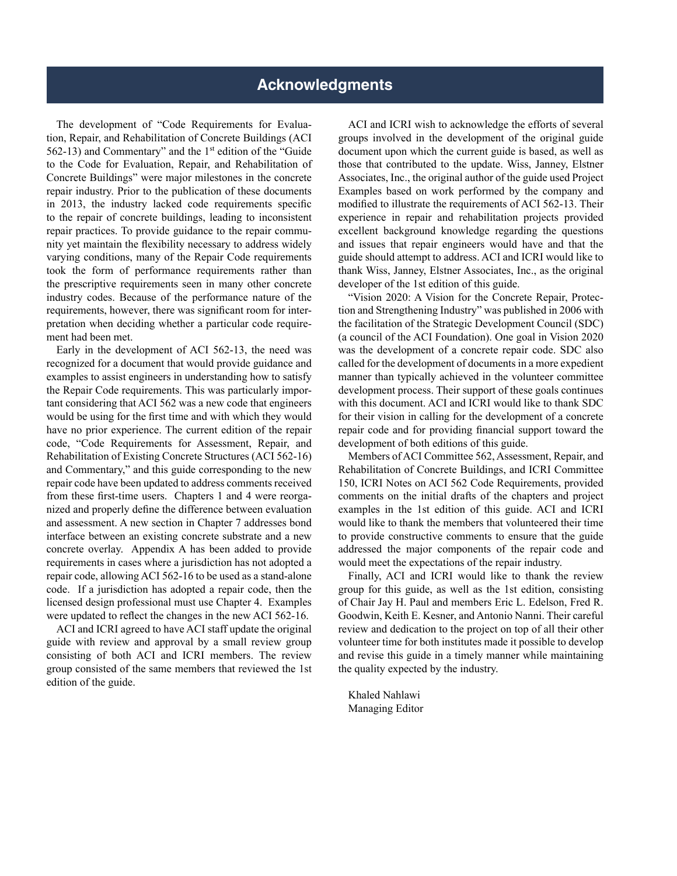<span id="page-5-0"></span>The development of "Code Requirements for Evaluation, Repair, and Rehabilitation of Concrete Buildings (ACI 562-13) and Commentary" and the  $1<sup>st</sup>$  edition of the "Guide" to the Code for Evaluation, Repair, and Rehabilitation of Concrete Buildings" were major milestones in the concrete repair industry. Prior to the publication of these documents in 2013, the industry lacked code requirements specific to the repair of concrete buildings, leading to inconsistent repair practices. To provide guidance to the repair community yet maintain the flexibility necessary to address widely varying conditions, many of the Repair Code requirements took the form of performance requirements rather than the prescriptive requirements seen in many other concrete industry codes. Because of the performance nature of the requirements, however, there was significant room for interpretation when deciding whether a particular code requirement had been met.

Early in the development of ACI 562-13, the need was recognized for a document that would provide guidance and examples to assist engineers in understanding how to satisfy the Repair Code requirements. This was particularly important considering that ACI 562 was a new code that engineers would be using for the first time and with which they would have no prior experience. The current edition of the repair code, "Code Requirements for Assessment, Repair, and Rehabilitation of Existing Concrete Structures (ACI 562-16) and Commentary," and this guide corresponding to the new repair code have been updated to address comments received from these first-time users. Chapters 1 and 4 were reorganized and properly define the difference between evaluation and assessment. A new section in Chapter 7 addresses bond interface between an existing concrete substrate and a new concrete overlay. Appendix A has been added to provide requirements in cases where a jurisdiction has not adopted a repair code, allowing ACI 562-16 to be used as a stand-alone code. If a jurisdiction has adopted a repair code, then the licensed design professional must use Chapter 4. Examples were updated to reflect the changes in the new ACI 562-16.

ACI and ICRI agreed to have ACI staff update the original guide with review and approval by a small review group consisting of both ACI and ICRI members. The review group consisted of the same members that reviewed the 1st edition of the guide.

ACI and ICRI wish to acknowledge the efforts of several groups involved in the development of the original guide document upon which the current guide is based, as well as those that contributed to the update. Wiss, Janney, Elstner Associates, Inc., the original author of the guide used Project Examples based on work performed by the company and modified to illustrate the requirements of ACI 562-13. Their experience in repair and rehabilitation projects provided excellent background knowledge regarding the questions and issues that repair engineers would have and that the guide should attempt to address. ACI and ICRI would like to thank Wiss, Janney, Elstner Associates, Inc., as the original developer of the 1st edition of this guide.

"Vision 2020: A Vision for the Concrete Repair, Protection and Strengthening Industry" was published in 2006 with the facilitation of the Strategic Development Council (SDC) (a council of the ACI Foundation). One goal in Vision 2020 was the development of a concrete repair code. SDC also called for the development of documents in a more expedient manner than typically achieved in the volunteer committee development process. Their support of these goals continues with this document. ACI and ICRI would like to thank SDC for their vision in calling for the development of a concrete repair code and for providing financial support toward the development of both editions of this guide.

Members of ACI Committee 562, Assessment, Repair, and Rehabilitation of Concrete Buildings, and ICRI Committee 150, ICRI Notes on ACI 562 Code Requirements, provided comments on the initial drafts of the chapters and project examples in the 1st edition of this guide. ACI and ICRI would like to thank the members that volunteered their time to provide constructive comments to ensure that the guide addressed the major components of the repair code and would meet the expectations of the repair industry.

Finally, ACI and ICRI would like to thank the review group for this guide, as well as the 1st edition, consisting of Chair Jay H. Paul and members Eric L. Edelson, Fred R. Goodwin, Keith E. Kesner, and Antonio Nanni. Their careful review and dedication to the project on top of all their other volunteer time for both institutes made it possible to develop and revise this guide in a timely manner while maintaining the quality expected by the industry.

Khaled Nahlawi Managing Editor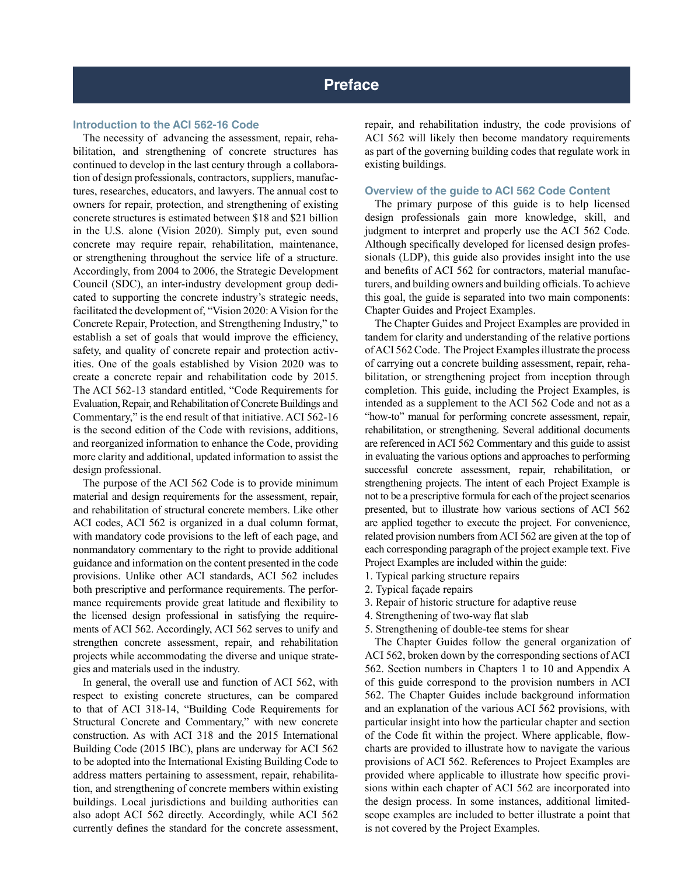#### <span id="page-6-0"></span>**Introduction to the ACI 562-16 Code**

The necessity of advancing the assessment, repair, rehabilitation, and strengthening of concrete structures has continued to develop in the last century through a collaboration of design professionals, contractors, suppliers, manufactures, researches, educators, and lawyers. The annual cost to owners for repair, protection, and strengthening of existing concrete structures is estimated between \$18 and \$21 billion in the U.S. alone (Vision 2020). Simply put, even sound concrete may require repair, rehabilitation, maintenance, or strengthening throughout the service life of a structure. Accordingly, from 2004 to 2006, the Strategic Development Council (SDC), an inter-industry development group dedicated to supporting the concrete industry's strategic needs, facilitated the development of, "Vision 2020: A Vision for the Concrete Repair, Protection, and Strengthening Industry," to establish a set of goals that would improve the efficiency, safety, and quality of concrete repair and protection activities. One of the goals established by Vision 2020 was to create a concrete repair and rehabilitation code by 2015. The ACI 562-13 standard entitled, "Code Requirements for Evaluation, Repair, and Rehabilitation of Concrete Buildings and Commentary," is the end result of that initiative. ACI 562-16 is the second edition of the Code with revisions, additions, and reorganized information to enhance the Code, providing more clarity and additional, updated information to assist the design professional.

The purpose of the ACI 562 Code is to provide minimum material and design requirements for the assessment, repair, and rehabilitation of structural concrete members. Like other ACI codes, ACI 562 is organized in a dual column format, with mandatory code provisions to the left of each page, and nonmandatory commentary to the right to provide additional guidance and information on the content presented in the code provisions. Unlike other ACI standards, ACI 562 includes both prescriptive and performance requirements. The performance requirements provide great latitude and flexibility to the licensed design professional in satisfying the requirements of ACI 562. Accordingly, ACI 562 serves to unify and strengthen concrete assessment, repair, and rehabilitation projects while accommodating the diverse and unique strategies and materials used in the industry.

In general, the overall use and function of ACI 562, with respect to existing concrete structures, can be compared to that of ACI 318-14, "Building Code Requirements for Structural Concrete and Commentary," with new concrete construction. As with ACI 318 and the 2015 International Building Code (2015 IBC), plans are underway for ACI 562 to be adopted into the International Existing Building Code to address matters pertaining to assessment, repair, rehabilitation, and strengthening of concrete members within existing buildings. Local jurisdictions and building authorities can also adopt ACI 562 directly. Accordingly, while ACI 562 currently defines the standard for the concrete assessment,

repair, and rehabilitation industry, the code provisions of ACI 562 will likely then become mandatory requirements as part of the governing building codes that regulate work in existing buildings.

#### **Overview of the guide to ACI 562 Code Content**

The primary purpose of this guide is to help licensed design professionals gain more knowledge, skill, and judgment to interpret and properly use the ACI 562 Code. Although specifically developed for licensed design professionals (LDP), this guide also provides insight into the use and benefits of ACI 562 for contractors, material manufacturers, and building owners and building officials. To achieve this goal, the guide is separated into two main components: Chapter Guides and Project Examples.

The Chapter Guides and Project Examples are provided in tandem for clarity and understanding of the relative portions of ACI 562 Code. The Project Examples illustrate the process of carrying out a concrete building assessment, repair, rehabilitation, or strengthening project from inception through completion. This guide, including the Project Examples, is intended as a supplement to the ACI 562 Code and not as a "how-to" manual for performing concrete assessment, repair, rehabilitation, or strengthening. Several additional documents are referenced in ACI 562 Commentary and this guide to assist in evaluating the various options and approaches to performing successful concrete assessment, repair, rehabilitation, or strengthening projects. The intent of each Project Example is not to be a prescriptive formula for each of the project scenarios presented, but to illustrate how various sections of ACI 562 are applied together to execute the project. For convenience, related provision numbers from ACI 562 are given at the top of each corresponding paragraph of the project example text. Five Project Examples are included within the guide:

- 1. Typical parking structure repairs
- 2. Typical façade repairs
- 3. Repair of historic structure for adaptive reuse
- 4. Strengthening of two-way flat slab
- 5. Strengthening of double-tee stems for shear

The Chapter Guides follow the general organization of ACI 562, broken down by the corresponding sections of ACI 562. Section numbers in Chapters 1 to 10 and Appendix A of this guide correspond to the provision numbers in ACI 562. The Chapter Guides include background information and an explanation of the various ACI 562 provisions, with particular insight into how the particular chapter and section of the Code fit within the project. Where applicable, flowcharts are provided to illustrate how to navigate the various provisions of ACI 562. References to Project Examples are provided where applicable to illustrate how specific provisions within each chapter of ACI 562 are incorporated into the design process. In some instances, additional limitedscope examples are included to better illustrate a point that is not covered by the Project Examples.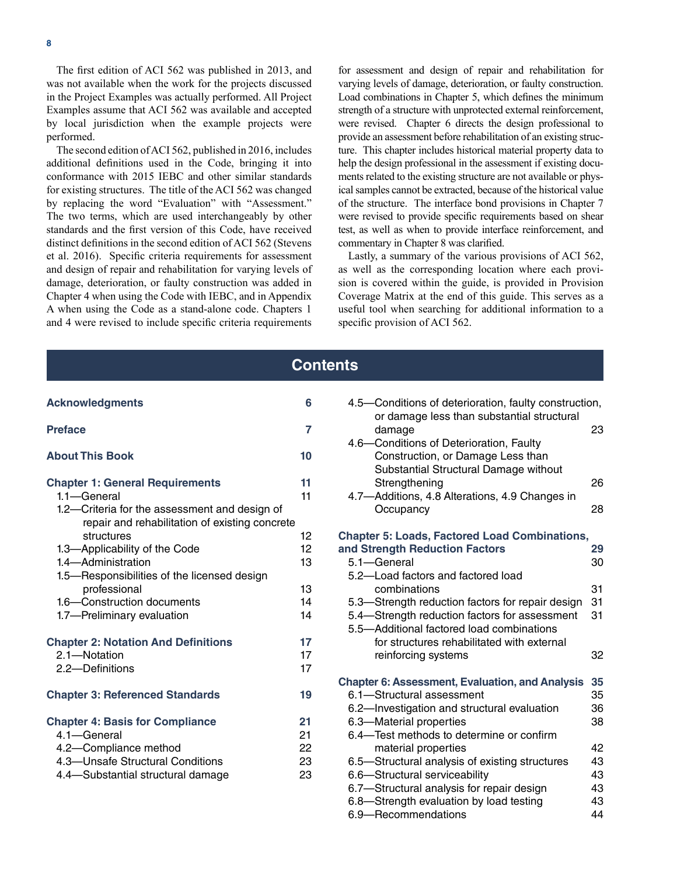The first edition of ACI 562 was published in 2013, and was not available when the work for the projects discussed in the Project Examples was actually performed. All Project Examples assume that ACI 562 was available and accepted by local jurisdiction when the example projects were performed.

The second edition of ACI 562, published in 2016, includes additional definitions used in the Code, bringing it into conformance with 2015 IEBC and other similar standards for existing structures. The title of the ACI 562 was changed by replacing the word "Evaluation" with "Assessment." The two terms, which are used interchangeably by other standards and the first version of this Code, have received distinct definitions in the second edition of ACI 562 (Stevens et al. 2016). Specific criteria requirements for assessment and design of repair and rehabilitation for varying levels of damage, deterioration, or faulty construction was added in Chapter 4 when using the Code with IEBC, and in Appendix A when using the Code as a stand-alone code. Chapters 1 and 4 were revised to include specific criteria requirements for assessment and design of repair and rehabilitation for varying levels of damage, deterioration, or faulty construction. Load combinations in Chapter 5, which defines the minimum strength of a structure with unprotected external reinforcement, were revised. Chapter 6 directs the design professional to provide an assessment before rehabilitation of an existing structure. This chapter includes historical material property data to help the design professional in the assessment if existing documents related to the existing structure are not available or physical samples cannot be extracted, because of the historical value of the structure. The interface bond provisions in Chapter 7 were revised to provide specific requirements based on shear test, as well as when to provide interface reinforcement, and commentary in Chapter 8 was clarified.

Lastly, a summary of the various provisions of ACI 562, as well as the corresponding location where each provision is covered within the guide, is provided in Provision Coverage Matrix at the end of this guide. This serves as a useful tool when searching for additional information to a specific provision of ACI 562.

# **Contents [Acknowledgments](#page-5-0) 6 [Preface](#page-6-0) 7 [About This Book](#page-9-0) 10 [Chapter 1: General Requirements](#page-10-0) 11** [1.1—General](#page-10-0) 11 [1.2—Criteria for the assessment and design of](#page-11-0)  [repair and rehabilitation of existing concrete](#page-11-0)  [structures](#page-11-0) 12 [1.3—Applicability of the Code](#page-11-0) 12 [1.4—Administration](#page-12-0) 13 [1.5—Responsibilities of the licensed design](#page-12-0)  [professional](#page-12-0) 13 [1.6—Construction documents](#page-13-0) 14 [1.7—Preliminary evaluation](#page-13-0) 14 **[Chapter 2: Notation And Definitions](#page--1-0) 17** [2.1—Notation](#page--1-0) 17 [2.2—Definitions](#page--1-0) 17 **[Chapter 3: Referenced Standards](#page--1-0) 19 [Chapter 4: Basis for Compliance](#page--1-0) 21** [4.1—General](#page--1-0) 21 [4.2—Compliance method 22](#page--1-0) [4.3—Unsafe Structural Conditions](#page--1-0) 23 [4.4—Substantial structural damage](#page--1-0) 23 [6.9—Recommendations](#page--1-0) 44

| 4.5-Conditions of deterioration, faulty construction,<br>or damage less than substantial structural |                      |
|-----------------------------------------------------------------------------------------------------|----------------------|
| damage                                                                                              | 23                   |
| 4.6-Conditions of Deterioration, Faulty                                                             |                      |
| Construction, or Damage Less than                                                                   |                      |
| Substantial Structural Damage without                                                               |                      |
| Strengthening                                                                                       | 26                   |
| 4.7-Additions, 4.8 Alterations, 4.9 Changes in                                                      |                      |
| Occupancy                                                                                           | 28                   |
| <b>Chapter 5: Loads, Factored Load Combinations,</b>                                                |                      |
| and Strength Reduction Factors                                                                      | 29                   |
| 5.1-General                                                                                         | 30                   |
| 5.2-Load factors and factored load                                                                  |                      |
| combinations                                                                                        | 31                   |
| 5.3-Strength reduction factors for repair design                                                    | 31                   |
| 5.4-Strength reduction factors for assessment                                                       | 31                   |
| 5.5-Additional factored load combinations                                                           |                      |
| for structures rehabilitated with external                                                          |                      |
| reinforcing systems                                                                                 | 32                   |
| <b>Chapter 6: Assessment, Evaluation, and Analysis</b>                                              | 35                   |
| 6.1-Structural assessment                                                                           | 35                   |
| 6.2-Investigation and structural evaluation                                                         | 36                   |
| 6.3-Material properties                                                                             | 38                   |
| 6.4-Test methods to determine or confirm                                                            |                      |
| material properties                                                                                 | 42                   |
| 6.5–Structural analysis of existing structures                                                      | 43                   |
| 6.6-Structural serviceability                                                                       | 43                   |
| 6.7-Structural analysis for repair design                                                           | 43                   |
| 6.8-Strength evaluation by load testing<br>والألقاط والمراجع المحرا لمحررة                          | 43<br>$\overline{A}$ |
|                                                                                                     |                      |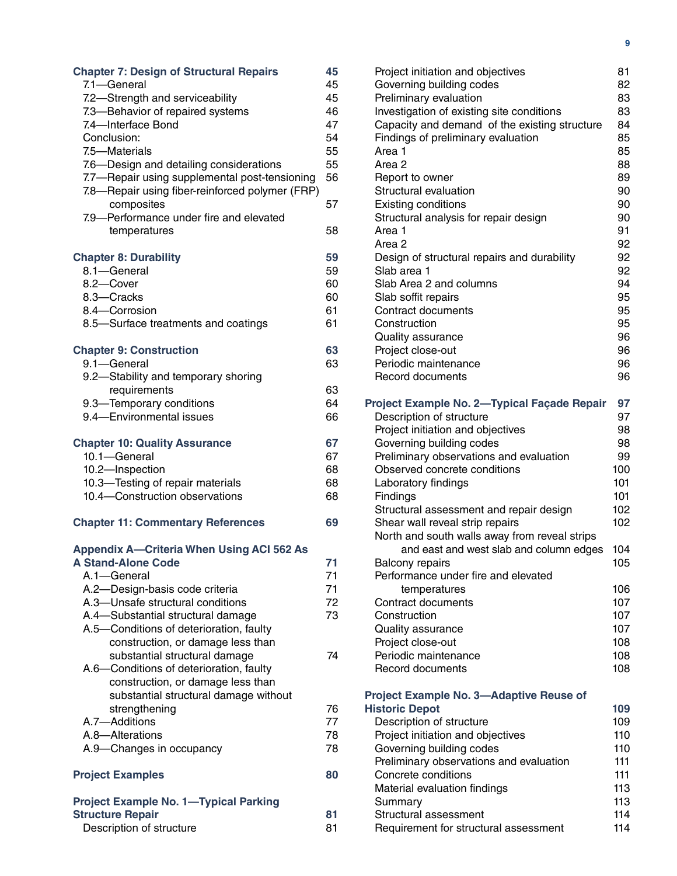| <b>Chapter 7: Design of Structural Repairs</b><br>7.1-General<br>7.2-Strength and serviceability<br>7.3-Behavior of repaired systems<br>7.4-Interface Bond<br>Conclusion:<br>7.5-Materials<br>7.6-Design and detailing considerations<br>7.7-Repair using supplemental post-tensioning<br>7.8-Repair using fiber-reinforced polymer (FRP)<br>composites<br>7.9-Performance under fire and elevated<br>temperatures | 45<br>45<br>45<br>46<br>47<br>54<br>55<br>55<br>56<br>57<br>58 |
|--------------------------------------------------------------------------------------------------------------------------------------------------------------------------------------------------------------------------------------------------------------------------------------------------------------------------------------------------------------------------------------------------------------------|----------------------------------------------------------------|
| <b>Chapter 8: Durability</b><br>8.1-General                                                                                                                                                                                                                                                                                                                                                                        | 59<br>59                                                       |
| 8.2-Cover                                                                                                                                                                                                                                                                                                                                                                                                          | 60                                                             |
| 8.3-Cracks                                                                                                                                                                                                                                                                                                                                                                                                         | 60                                                             |
| 8.4-Corrosion                                                                                                                                                                                                                                                                                                                                                                                                      | 61                                                             |
| 8.5-Surface treatments and coatings                                                                                                                                                                                                                                                                                                                                                                                | 61                                                             |
| <b>Chapter 9: Construction</b>                                                                                                                                                                                                                                                                                                                                                                                     | 63                                                             |
| 9.1-General                                                                                                                                                                                                                                                                                                                                                                                                        | 63                                                             |
| 9.2-Stability and temporary shoring                                                                                                                                                                                                                                                                                                                                                                                |                                                                |
| requirements                                                                                                                                                                                                                                                                                                                                                                                                       | 63                                                             |
| 9.3-Temporary conditions                                                                                                                                                                                                                                                                                                                                                                                           | 64                                                             |
| 9.4-Environmental issues                                                                                                                                                                                                                                                                                                                                                                                           | 66                                                             |
| <b>Chapter 10: Quality Assurance</b>                                                                                                                                                                                                                                                                                                                                                                               | 67                                                             |
| 10.1-General                                                                                                                                                                                                                                                                                                                                                                                                       | 67                                                             |
| 10.2-Inspection                                                                                                                                                                                                                                                                                                                                                                                                    | 68                                                             |
| 10.3-Testing of repair materials                                                                                                                                                                                                                                                                                                                                                                                   | 68                                                             |
| 10.4-Construction observations                                                                                                                                                                                                                                                                                                                                                                                     | 68                                                             |
| <b>Chapter 11: Commentary References</b>                                                                                                                                                                                                                                                                                                                                                                           | 69                                                             |
| <b>Appendix A-Criteria When Using ACI 562 As</b>                                                                                                                                                                                                                                                                                                                                                                   |                                                                |
| <b>A Stand-Alone Code</b>                                                                                                                                                                                                                                                                                                                                                                                          | 71                                                             |
| A.1-General                                                                                                                                                                                                                                                                                                                                                                                                        | 71                                                             |
| A.2-Design-basis code criteria                                                                                                                                                                                                                                                                                                                                                                                     | 71                                                             |
| A.3-Unsafe structural conditions<br>A.4-Substantial structural damage                                                                                                                                                                                                                                                                                                                                              | 72<br>73                                                       |
| A.5-Conditions of deterioration, faulty                                                                                                                                                                                                                                                                                                                                                                            |                                                                |
| construction, or damage less than                                                                                                                                                                                                                                                                                                                                                                                  |                                                                |
| substantial structural damage                                                                                                                                                                                                                                                                                                                                                                                      | 74                                                             |
| A.6-Conditions of deterioration, faulty                                                                                                                                                                                                                                                                                                                                                                            |                                                                |
| construction, or damage less than                                                                                                                                                                                                                                                                                                                                                                                  |                                                                |
| substantial structural damage without                                                                                                                                                                                                                                                                                                                                                                              |                                                                |
| strengthening<br>A.7-Additions                                                                                                                                                                                                                                                                                                                                                                                     | 76<br>77                                                       |
| A.8-Alterations                                                                                                                                                                                                                                                                                                                                                                                                    | 78                                                             |
| A.9-Changes in occupancy                                                                                                                                                                                                                                                                                                                                                                                           | 78                                                             |
| <b>Project Examples</b>                                                                                                                                                                                                                                                                                                                                                                                            | 80                                                             |
|                                                                                                                                                                                                                                                                                                                                                                                                                    |                                                                |
| <b>Project Example No. 1-Typical Parking</b><br><b>Structure Repair</b>                                                                                                                                                                                                                                                                                                                                            | 81                                                             |
| Description of structure                                                                                                                                                                                                                                                                                                                                                                                           | 81                                                             |
|                                                                                                                                                                                                                                                                                                                                                                                                                    |                                                                |

| Project initiation and objectives             | 81  |
|-----------------------------------------------|-----|
| Governing building codes                      | 82  |
| Preliminary evaluation                        | 83  |
| Investigation of existing site conditions     | 83  |
| Capacity and demand of the existing structure | 84  |
|                                               | 85  |
| Findings of preliminary evaluation            |     |
| Area 1                                        | 85  |
| Area <sub>2</sub>                             | 88  |
| Report to owner                               | 89  |
| Structural evaluation                         | 90  |
| Existing conditions                           | 90  |
| Structural analysis for repair design         | 90  |
| Area 1                                        | 91  |
| Area <sub>2</sub>                             | 92  |
|                                               |     |
| Design of structural repairs and durability   | 92  |
| Slab area 1                                   | 92  |
| Slab Area 2 and columns                       | 94  |
| Slab soffit repairs                           | 95  |
| <b>Contract documents</b>                     | 95  |
| Construction                                  | 95  |
| Quality assurance                             | 96  |
| Project close-out                             | 96  |
| Periodic maintenance                          | 96  |
|                                               |     |
| <b>Record documents</b>                       | 96  |
| Project Example No. 2-Typical Façade Repair   | 97  |
| Description of structure                      | 97  |
| Project initiation and objectives             | 98  |
| Governing building codes                      | 98  |
|                                               |     |
| Preliminary observations and evaluation       | 99  |
| Observed concrete conditions                  | 100 |
| Laboratory findings                           | 101 |
| Findings                                      | 101 |
| Structural assessment and repair design       | 102 |
| Shear wall reveal strip repairs               | 102 |
| North and south walls away from reveal strips |     |
| and east and west slab and column edges       | 104 |
| <b>Balcony repairs</b>                        | 105 |
| Performance under fire and elevated           |     |
|                                               |     |
| temperatures                                  | 106 |
| <b>Contract documents</b>                     | 107 |
| Construction                                  | 107 |
| Quality assurance                             | 107 |
| Project close-out                             | 108 |
| Periodic maintenance                          | 108 |
| <b>Record documents</b>                       | 108 |
|                                               |     |
| Project Example No. 3-Adaptive Reuse of       |     |
| <b>Historic Depot</b>                         | 109 |
| Description of structure                      | 109 |
| Project initiation and objectives             | 110 |
| Governing building codes                      | 110 |
| Preliminary observations and evaluation       | 111 |
| Concrete conditions                           | 111 |
| Material evaluation findings                  | 113 |
| Summary                                       | 113 |
| Structural assessment                         | 114 |
| Requirement for structural assessment         | 114 |
|                                               |     |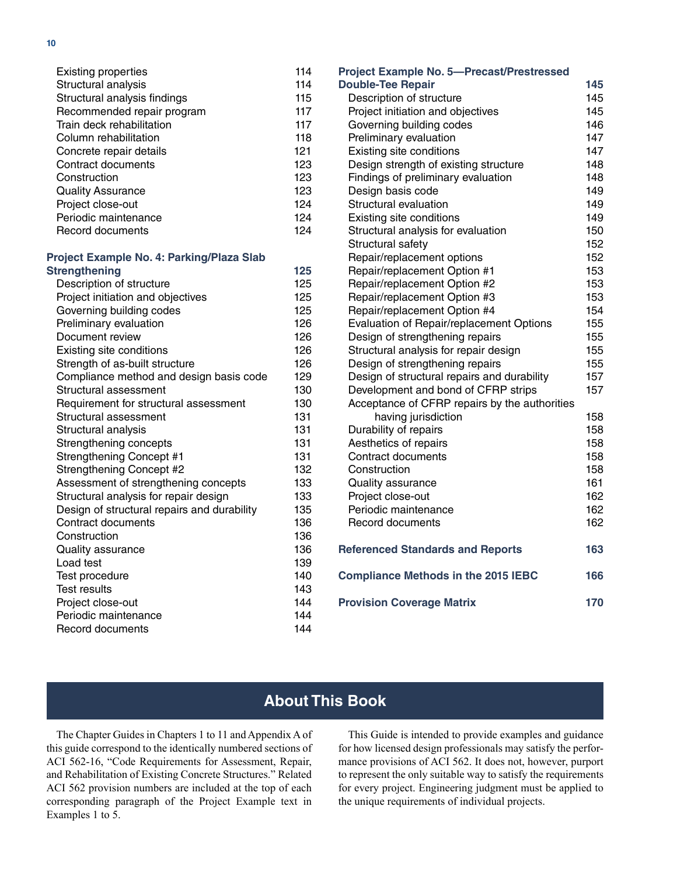<span id="page-9-0"></span>

| <b>Existing properties</b>                  | 114 |
|---------------------------------------------|-----|
| Structural analysis                         | 114 |
| Structural analysis findings                | 115 |
| Recommended repair program                  | 117 |
| Train deck rehabilitation                   | 117 |
| Column rehabilitation                       | 118 |
| Concrete repair details                     | 121 |
| <b>Contract documents</b>                   | 123 |
| Construction                                | 123 |
| <b>Quality Assurance</b>                    | 123 |
| Project close-out                           | 124 |
| Periodic maintenance                        | 124 |
| Record documents                            | 124 |
| Project Example No. 4: Parking/Plaza Slab   |     |
| <b>Strengthening</b>                        | 125 |
| Description of structure                    | 125 |
| Project initiation and objectives           | 125 |
| Governing building codes                    | 125 |
| Preliminary evaluation                      | 126 |
| Document review                             | 126 |
| Existing site conditions                    | 126 |
| Strength of as-built structure              | 126 |
| Compliance method and design basis code     | 129 |
| Structural assessment                       | 130 |
| Requirement for structural assessment       | 130 |
| Structural assessment                       | 131 |
| Structural analysis                         | 131 |
| Strengthening concepts                      | 131 |
| <b>Strengthening Concept #1</b>             | 131 |
| Strengthening Concept #2                    | 132 |
| Assessment of strengthening concepts        | 133 |
| Structural analysis for repair design       | 133 |
| Design of structural repairs and durability | 135 |
| Contract documents                          | 136 |
| Construction                                | 136 |
| <b>Quality assurance</b>                    | 136 |
| Load test                                   | 139 |
| Test procedure                              | 140 |
| <b>Test results</b>                         | 143 |

| <b>Project Example No. 5-Precast/Prestressed</b> |     |
|--------------------------------------------------|-----|
| <b>Double-Tee Repair</b>                         | 145 |
| Description of structure                         | 145 |
| Project initiation and objectives                | 145 |
| Governing building codes                         | 146 |
| Preliminary evaluation                           | 147 |
| Existing site conditions                         | 147 |
| Design strength of existing structure            | 148 |
| Findings of preliminary evaluation               | 148 |
| Design basis code                                | 149 |
| Structural evaluation                            | 149 |
| Existing site conditions                         | 149 |
| Structural analysis for evaluation               | 150 |
| Structural safety                                | 152 |
| Repair/replacement options                       | 152 |
| Repair/replacement Option #1                     | 153 |
| Repair/replacement Option #2                     | 153 |
| Repair/replacement Option #3                     | 153 |
| Repair/replacement Option #4                     | 154 |
| Evaluation of Repair/replacement Options         | 155 |
| Design of strengthening repairs                  | 155 |
| Structural analysis for repair design            | 155 |
| Design of strengthening repairs                  | 155 |
| Design of structural repairs and durability      | 157 |
| Development and bond of CFRP strips              | 157 |
| Acceptance of CFRP repairs by the authorities    |     |
| having jurisdiction                              | 158 |
| Durability of repairs                            | 158 |
| Aesthetics of repairs                            | 158 |
| <b>Contract documents</b>                        | 158 |
| Construction                                     | 158 |
| Quality assurance                                | 161 |
| Project close-out                                | 162 |
| Periodic maintenance                             | 162 |
| <b>Record documents</b>                          | 162 |
| <b>Referenced Standards and Reports</b>          | 163 |
| <b>Compliance Methods in the 2015 IEBC</b>       | 166 |
| <b>Provision Coverage Matrix</b>                 | 170 |
|                                                  |     |

# **About This Book**

The Chapter Guides in Chapters 1 to 11 and Appendix A of this guide correspond to the identically numbered sections of ACI 562-16, "Code Requirements for Assessment, Repair, and Rehabilitation of Existing Concrete Structures." Related ACI 562 provision numbers are included at the top of each corresponding paragraph of the Project Example text in Examples 1 to 5.

[Project close-out](#page--1-0) 144 [Periodic maintenance](#page--1-0) 144 [Record documents](#page--1-0) 144

> This Guide is intended to provide examples and guidance for how licensed design professionals may satisfy the performance provisions of ACI 562. It does not, however, purport to represent the only suitable way to satisfy the requirements for every project. Engineering judgment must be applied to the unique requirements of individual projects.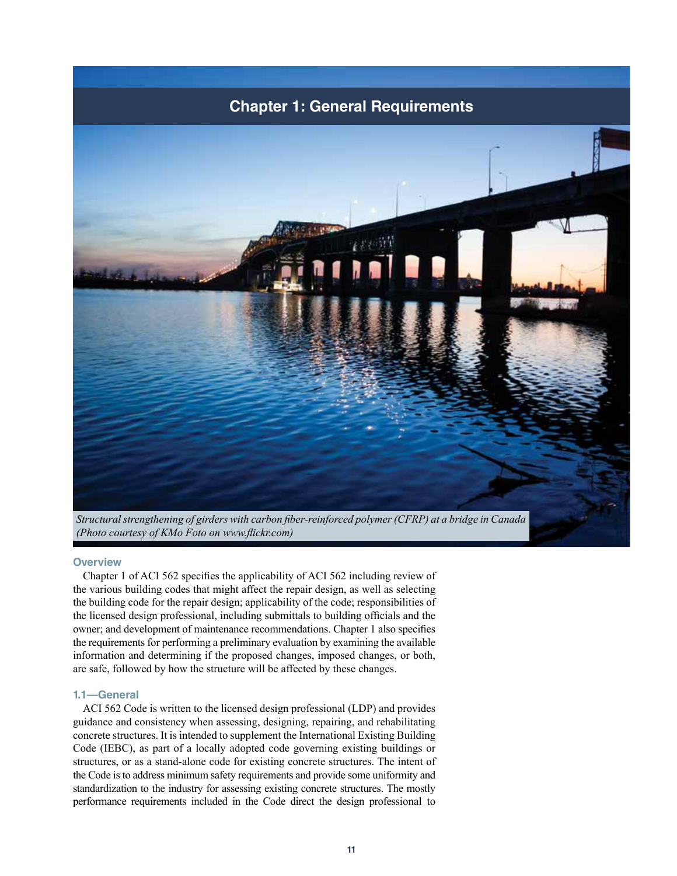<span id="page-10-0"></span>

*(Photo courtesy of KMo Foto on www.flickr.com)*

# **Overview**

Chapter 1 of ACI 562 specifies the applicability of ACI 562 including review of the various building codes that might affect the repair design, as well as selecting the building code for the repair design; applicability of the code; responsibilities of the licensed design professional, including submittals to building officials and the owner; and development of maintenance recommendations. Chapter 1 also specifies the requirements for performing a preliminary evaluation by examining the available information and determining if the proposed changes, imposed changes, or both, are safe, followed by how the structure will be affected by these changes.

# **1.1—General**

ACI 562 Code is written to the licensed design professional (LDP) and provides guidance and consistency when assessing, designing, repairing, and rehabilitating concrete structures. It is intended to supplement the International Existing Building Code (IEBC), as part of a locally adopted code governing existing buildings or structures, or as a stand-alone code for existing concrete structures. The intent of the Code is to address minimum safety requirements and provide some uniformity and standardization to the industry for assessing existing concrete structures. The mostly performance requirements included in the Code direct the design professional to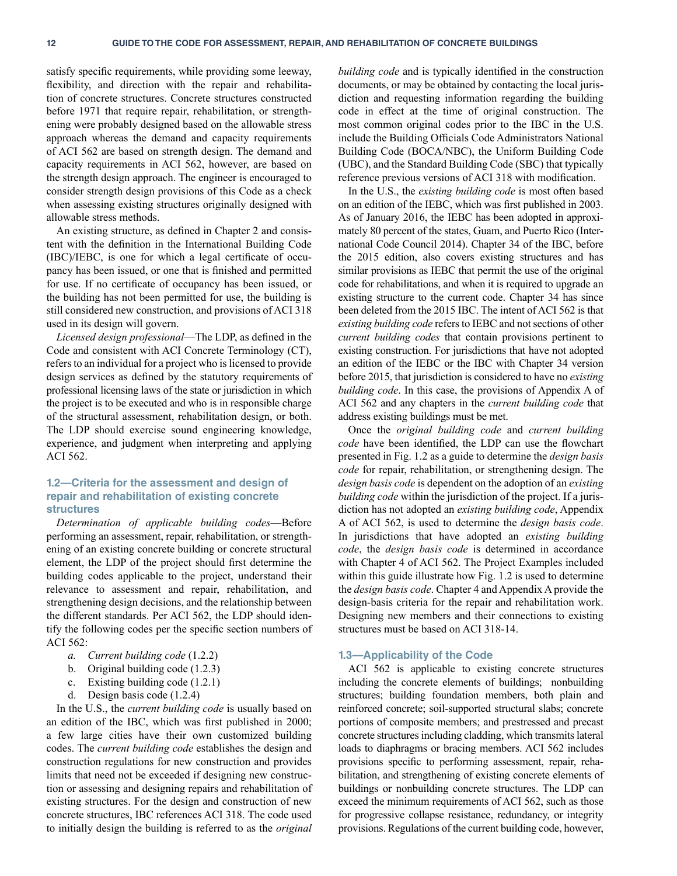<span id="page-11-0"></span>satisfy specific requirements, while providing some leeway, flexibility, and direction with the repair and rehabilitation of concrete structures. Concrete structures constructed before 1971 that require repair, rehabilitation, or strengthening were probably designed based on the allowable stress approach whereas the demand and capacity requirements of ACI 562 are based on strength design. The demand and capacity requirements in ACI 562, however, are based on the strength design approach. The engineer is encouraged to consider strength design provisions of this Code as a check when assessing existing structures originally designed with allowable stress methods.

An existing structure, as defined in Chapter 2 and consistent with the definition in the International Building Code (IBC)/IEBC, is one for which a legal certificate of occupancy has been issued, or one that is finished and permitted for use. If no certificate of occupancy has been issued, or the building has not been permitted for use, the building is still considered new construction, and provisions of ACI 318 used in its design will govern.

*Licensed design professional*—The LDP, as defined in the Code and consistent with ACI Concrete Terminology (CT), refers to an individual for a project who is licensed to provide design services as defined by the statutory requirements of professional licensing laws of the state or jurisdiction in which the project is to be executed and who is in responsible charge of the structural assessment, rehabilitation design, or both. The LDP should exercise sound engineering knowledge, experience, and judgment when interpreting and applying ACI 562.

# **1.2—Criteria for the assessment and design of repair and rehabilitation of existing concrete structures**

*Determination of applicable building codes*—Before performing an assessment, repair, rehabilitation, or strengthening of an existing concrete building or concrete structural element, the LDP of the project should first determine the building codes applicable to the project, understand their relevance to assessment and repair, rehabilitation, and strengthening design decisions, and the relationship between the different standards. Per ACI 562, the LDP should identify the following codes per the specific section numbers of ACI 562:

- *a. Current building code* (1.2.2)
- b. Original building code (1.2.3)
- c. Existing building code (1.2.1)
- d. Design basis code (1.2.4)

In the U.S., the *current building code* is usually based on an edition of the IBC, which was first published in 2000; a few large cities have their own customized building codes. The *current building code* establishes the design and construction regulations for new construction and provides limits that need not be exceeded if designing new construction or assessing and designing repairs and rehabilitation of existing structures. For the design and construction of new concrete structures, IBC references ACI 318. The code used to initially design the building is referred to as the *original*  *building code* and is typically identified in the construction documents, or may be obtained by contacting the local jurisdiction and requesting information regarding the building code in effect at the time of original construction. The most common original codes prior to the IBC in the U.S. include the Building Officials Code Administrators National Building Code (BOCA/NBC), the Uniform Building Code (UBC), and the Standard Building Code (SBC) that typically reference previous versions of ACI 318 with modification.

In the U.S., the *existing building code* is most often based on an edition of the IEBC, which was first published in 2003. As of January 2016, the IEBC has been adopted in approximately 80 percent of the states, Guam, and Puerto Rico (International Code Council 2014). Chapter 34 of the IBC, before the 2015 edition, also covers existing structures and has similar provisions as IEBC that permit the use of the original code for rehabilitations, and when it is required to upgrade an existing structure to the current code. Chapter 34 has since been deleted from the 2015 IBC. The intent of ACI 562 is that *existing building code* refers to IEBC and not sections of other *current building codes* that contain provisions pertinent to existing construction. For jurisdictions that have not adopted an edition of the IEBC or the IBC with Chapter 34 version before 2015, that jurisdiction is considered to have no *existing building code*. In this case, the provisions of Appendix A of ACI 562 and any chapters in the *current building code* that address existing buildings must be met.

Once the *original building code* and *current building code* have been identified, the LDP can use the flowchart presented in Fig. 1.2 as a guide to determine the *design basis code* for repair, rehabilitation, or strengthening design. The *design basis code* is dependent on the adoption of an *existing building code* within the jurisdiction of the project. If a jurisdiction has not adopted an *existing building code*, Appendix A of ACI 562, is used to determine the *design basis code*. In jurisdictions that have adopted an *existing building code*, the *design basis code* is determined in accordance with Chapter 4 of ACI 562. The Project Examples included within this guide illustrate how Fig. 1.2 is used to determine the *design basis code*. Chapter 4 and Appendix A provide the design-basis criteria for the repair and rehabilitation work. Designing new members and their connections to existing structures must be based on ACI 318-14.

#### **1.3—Applicability of the Code**

ACI 562 is applicable to existing concrete structures including the concrete elements of buildings; nonbuilding structures; building foundation members, both plain and reinforced concrete; soil-supported structural slabs; concrete portions of composite members; and prestressed and precast concrete structures including cladding, which transmits lateral loads to diaphragms or bracing members. ACI 562 includes provisions specific to performing assessment, repair, rehabilitation, and strengthening of existing concrete elements of buildings or nonbuilding concrete structures. The LDP can exceed the minimum requirements of ACI 562, such as those for progressive collapse resistance, redundancy, or integrity provisions. Regulations of the current building code, however,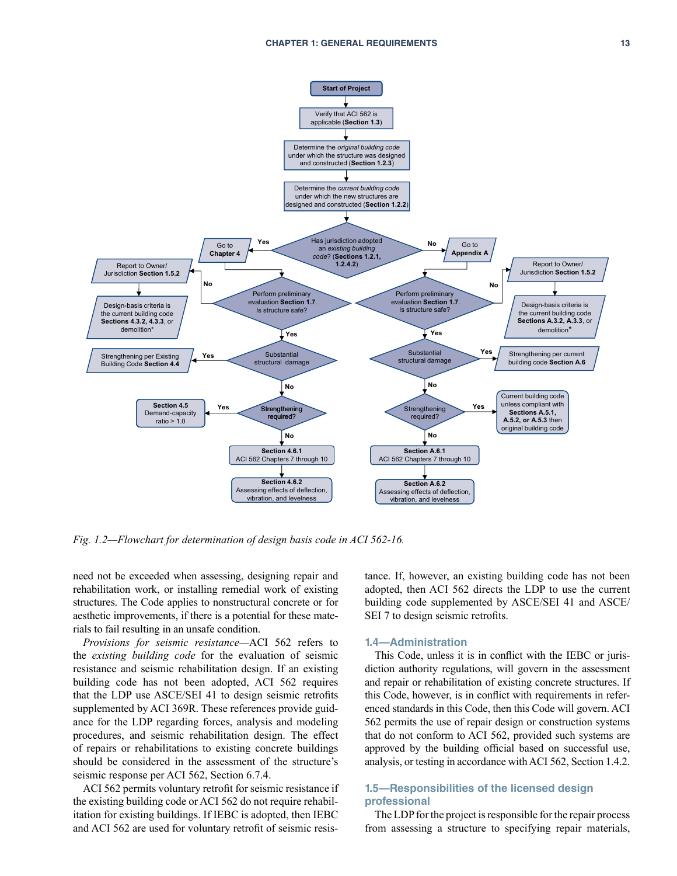<span id="page-12-0"></span>

*Fig. 1.2—Flowchart for determination of design basis code in ACI 562-16.*

need not be exceeded when assessing, designing repair and rehabilitation work, or installing remedial work of existing structures. The Code applies to nonstructural concrete or for aesthetic improvements, if there is a potential for these materials to fail resulting in an unsafe condition.

*Provisions for seismic resistance—*ACI 562 refers to the *existing building code* for the evaluation of seismic resistance and seismic rehabilitation design. If an existing building code has not been adopted, ACI 562 requires that the LDP use ASCE/SEI 41 to design seismic retrofits supplemented by ACI 369R. These references provide guidance for the LDP regarding forces, analysis and modeling procedures, and seismic rehabilitation design. The effect of repairs or rehabilitations to existing concrete buildings should be considered in the assessment of the structure's seismic response per ACI 562, Section 6.7.4.

ACI 562 permits voluntary retrofit for seismic resistance if the existing building code or ACI 562 do not require rehabilitation for existing buildings. If IEBC is adopted, then IEBC and ACI 562 are used for voluntary retrofit of seismic resistance. If, however, an existing building code has not been adopted, then ACI 562 directs the LDP to use the current building code supplemented by ASCE/SEI 41 and ASCE/ SEI 7 to design seismic retrofits.

#### **1.4—Administration**

This Code, unless it is in conflict with the IEBC or jurisdiction authority regulations, will govern in the assessment and repair or rehabilitation of existing concrete structures. If this Code, however, is in conflict with requirements in referenced standards in this Code, then this Code will govern. ACI 562 permits the use of repair design or construction systems that do not conform to ACI 562, provided such systems are approved by the building official based on successful use, analysis, or testing in accordance with ACI 562, Section 1.4.2.

# **1.5—Responsibilities of the licensed design professional**

The LDP for the project is responsible for the repair process from assessing a structure to specifying repair materials,